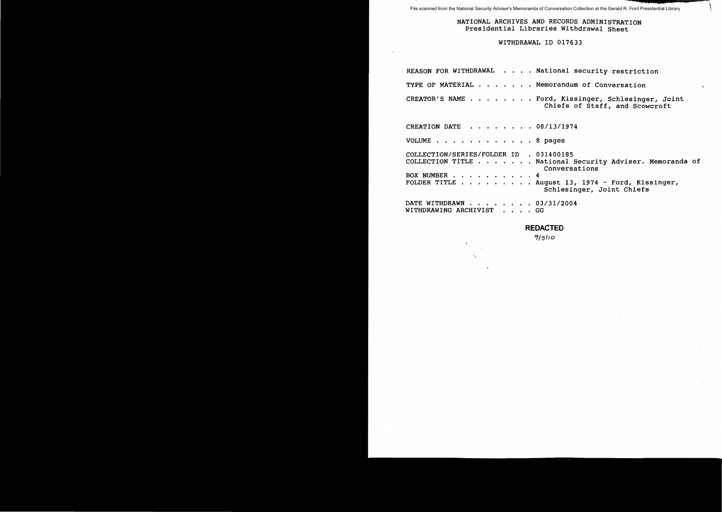File scanned from the National Security Adviser's Memoranda of Conversation Collection at the Gerald R. Ford Presidential Library

### NATIONAL ARCHIVES AND RECORDS ADMINISTRATION Presidential Libraries Withdrawal Sheet

i

<sup>J</sup>**14:;; elia; a m** \

### WITHDRAWAL "ID 017633

|                                                         | REASON FOR WITHDRAWAL National security restriction                                                                                                                |
|---------------------------------------------------------|--------------------------------------------------------------------------------------------------------------------------------------------------------------------|
|                                                         | TYPE OF MATERIAL Memorandum of Conversation                                                                                                                        |
|                                                         | CREATOR'S NAME Ford, Kissinger, Schlesinger, Joint<br>Chiefs of Staff, and Scowcroft                                                                               |
| CREATION DATE 08/13/1974                                |                                                                                                                                                                    |
| VOLUME 8 pages                                          |                                                                                                                                                                    |
| COLLECTION/SERIES/FOLDER ID . 031400185<br>BOX NUMBER 4 | COLLECTION TITLE National Security Adviser. Memoranda of<br>Conversations<br>FOLDER TITLE $\ldots$ August 13, 1974 - Ford, Kissinger,<br>Schlesinger, Joint Chiefs |
| DATE WITHDRAWN 03/31/2004<br>WITHDRAWING ARCHIVIST GG   |                                                                                                                                                                    |

# **REDACTED**

9/3110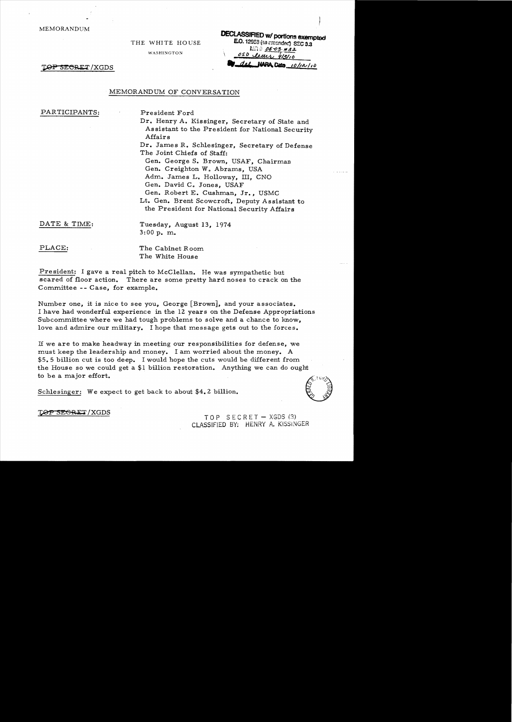MEMORANDUM

THE WHITE HOUSE

WASHINGTON

**DECLASSIFIED w/ portions exempted** E.O. 12958 (sa cmonded) SEC 3.3  $km = 25.432$ 050 learn 913/10  $NARRL$  Date  $10/12/10$ 

TOP SECRET/XGDS

#### MEMORANDUM OF CONVERSATION

PARTICIPANTS: President Ford

Dr. Henry A. Kissinger, Secretary of State and Assistant to the President for National Security Affairs

Dr. James R. Schlesinger, Secretary of Defense The Joint Chiefs of Staff:

Gen. George S. Brown, USAF, Chairman Gen. Creighton W. Abrams, USA Adm. James L. Holloway, III, CNO Gen. David C. Jones, USAF

Gen. Robert E. Cushman, Jr., USMC Lt. Gen. Brent Scowcroft, Deputy Assistant to the President for National Security Affairs

DATE & TIME: Tuesday, August 13, 1974 3:00 p. m.

PLACE: The Cabinet Room The White House

President: I gave a real pitch to McClellan. He was sympathetic but scared of floor action. There are some pretty hard noses to crack on the Committee - - Case, for example.

Number one, it is nice to see you, George [Brown], and your associates. I have had wonderful experience in the 12 years on the Defense Appropriations Subcommittee where we had tough problems to solve and a chance to know, love and admire our military. I hope that message gets out to the forces.

If we are to make headway in meeting our responsibilities for defense, we must keep the leadership and money. I am worried about the money. A \$5.5 billion cut is too deep. I would hope the cuts would be different from the House so we could get a \$1 billion restoration. Anything we can do ought to be a major effort.

Schlesinger: We expect to get back to about \$4.2 billion.



TOP SEGRET/XGDS<br>TOP SECRET - XGDS (3) CLASSlflED BY; HENRY A. KISSINGER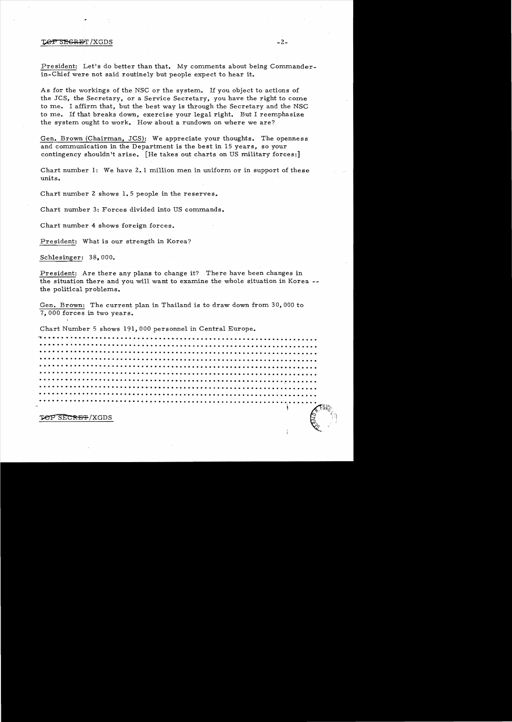#### $\mathbb{T} \Theta \mathbb{P}$  secret /XGDS -2-

President: Let's do better than that. My comments about being Commanderin-Chief were not said routinely but people expect to hear it.

As for the workings of the NSC or the system.. If you object to actions of the JCS, the Secretary, or a Service Secretary, you have the right to come to me. I affirm that, but the best way is through the Secretary and the NSC to me. If that breaks down, exercise your legal right. But I reemphasize the system ought to work. How about a rundown on where we are?

Gen. Brown (Chairman, JCS): We appreciate your thoughts. The openness and communication in the Department is the best in 15 years, so your contingency shouldn't arise. [He takes out charts on US military forces:]

Chart number 1: We have 2.1 million men in uniform or in support of these units.

Chart number 2 shows 1.5 people in the reserves.

Chart number 3: Forces divided into US commands.

Chart number 4 shows foreign forces.

President: What is our strength in Korea?

Schlesinger: 38,000.

President: Are there any plans to change it? There have been changes in the situation there and you will want to examine the whole situation in Korea. the political problems.

Gen. Brown: The current plan in Thailand is to draw down from. 30,000 to 7,000 forces in two years.

Chart Number 5 shows 191,000 personnel in Central Europe.<br>
The contract of the contract of the contract of the contract of the contract of the contract of the contract of the contract of the contract of the contract of the . <u>. . . . . . . .</u><br>. . . . . . . . . .... . . . . . . .. . . . . . . . . . . . . ... . .. . . . .. . . . . . . . . . .... . . . . ... . .. · . . . . . . . . . . . ... . . ... . . . . . . . . . .... . .. . . . . . . . . . . . . . ~ . . . ....... . .. . . . · . . . . . . . . . . . . . ..... . . . . . . . . .. . . . . . . . . . . . . . . . . . . . . . . .. . . . . . . . . . . . . . · . . . . . . . . ........ . . . . . . . . . . . .... . . . . . . . . . .. . . . . . . . .. . . . . . . .... . . . . · . . . . . . . . . . . . . . . . .. . . . . . . . .. . . . ... . . . . . . . . . .. . . . . . ... . . .. . .. . . . . . ·. . . . . . . . . . . . . . . .... . . . . . . . . . . . . .. . . . . . .. . . . . . . . . . . . . . . . . .. ~ ..... . . · . . . . ... . . . . . .. . . . . . . . . . . . . . . . . . .... . . . . . . . . .. . . . . .. . . . . .. . . . .. . . . • •••••••••••••••••••••••••••••••••••••••••••••••••••••••• **••\_••** .••• (..011?~~

TOP SECRET/XGDS

, f. 9 $\eta_{ij}$ 

"~I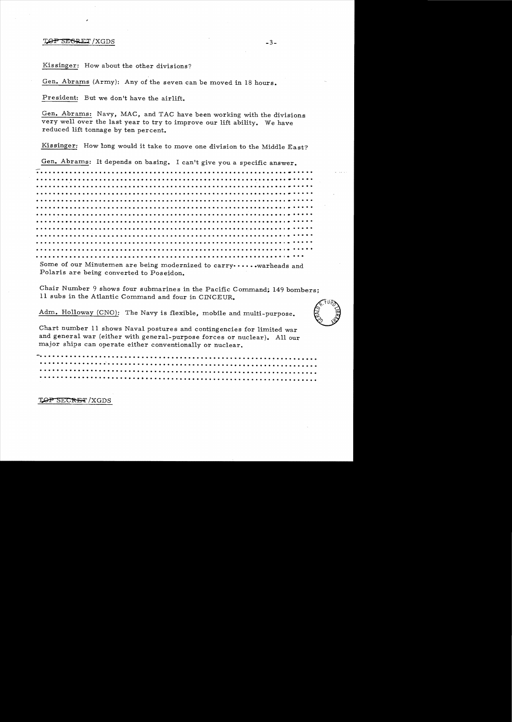#### $T_{\phi}$ P SEGRET / XGDS  $-3-$

Kissinger: How about the other divisions?

Gen. Abrams (Army): Any of the seven can be moved in 18 hours.

President: But we don't have the airlift.

Gen. Abrams: Navy, MAC, and TAC have been working with the divisions very well over the last year to try to improve our lift ability. We have reduced lift tonnage by ten percent.

Kissinger: How long would it take to move one division to the Middle East?

Gen. Abrams: It depends on basing. I can't give you a specific answer.

.. . . . ... . . . .. ... .. . · . . .. . . .. . . . . . . . .. . . . . . ... . . . . . .... ... . . . ... . . ... . . . · . . . ... . . .. . . . .. ..... ·.. . . . . . . . . . .. . .. . .. ..... .. . . .... . .... . . . . . . ... . . Some of our Minutemen are being modernized to carry••••••• warheads and

Polaris are being converted to Poseidon.

Chair Number 9 shows four submarines in the Pacific Command; 149 bombers; 11 subs in the Atlantic Command and four in CINCEUR..

Adm. Holloway (CNO): The Navy is flexible, mobile and multi-purpose.



Chart number 11 shows Naval postures and contingencies for limited war and general war (either with general-purpose forces or nuclear). All our major ships can operate either conventionally or nuclear.

**-.....** . ... -. . . . .... ..... . . . . . ... . ... . . .. .... ... ... . . . ... ... . . . . . . ... ...

**TOP SECRET**/XGDS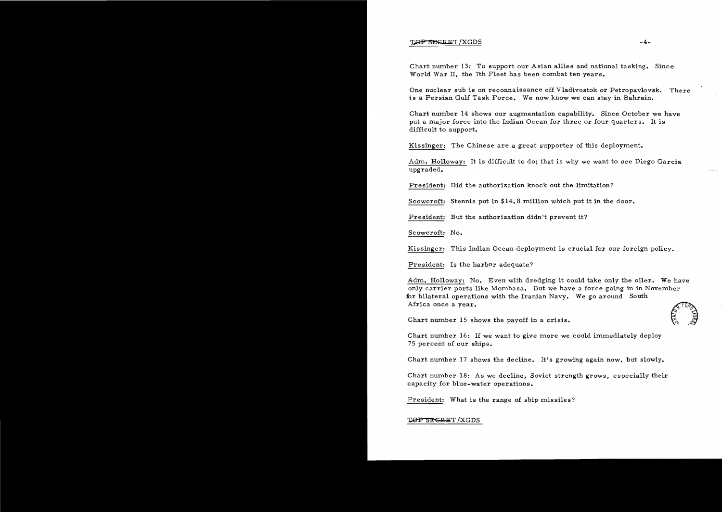### TOP SESRET/XGDS -4-

Chart number 13: To support our Asian allies and national tasking. Since World War II, the 7th Fleet has been combat ten years.

One nuclear sub is on reconnaissance off Vladivostok or Petropavlovsk. There is a Persian Gulf Task Force. We now know we can stay in Bahrain.

Chart number 14 shows our augmentation capability. Since October we have put a major force into the Indian Ocean for three or four quarters. It is difficult to support.

Kissinger: The Chinese are a great supporter of this deployment.

Adm. Holloway: It is difficult to do; that is why we want to see Diego Garcia upgraded.

President: Did the authorization knock out the limitation?

Scowcroft: Stennis put in  $$14.8$  million which put it in the door.

President: But the authorization didn't prevent it?

Scowcroft: No.

Kissinger: This Indian Ocean deployment is crucial for our foreign policy.

President: Is the harbor adequate?

Adm. Holloway: No. Even with dredging it could take only the oiler. We have only carrier ports like Mombasa. But we have a force going in in November for bilateral operations with the Iranian Navy. We go around South<br>
Africa once a year.<br>
Chart number 15 shows the payoff in a crisis.<br>  $\begin{pmatrix} 0 & 0 & 0 \\ 0 & 0 & 0 \\ 0 & 0 & 0 \end{pmatrix}$ Africa once a year.

Chart number  $16$ : If we want to give more we could immediately deploy 75 percent of our ships.

Chart number 17 shows the decline. It's growing again now, but slowly.

Chart number 18: As we decline, Soviet strength grows, especially their capacity for blue-water operations.

President: What is the range of ship missiles?

TOP SEGRET/XGDS

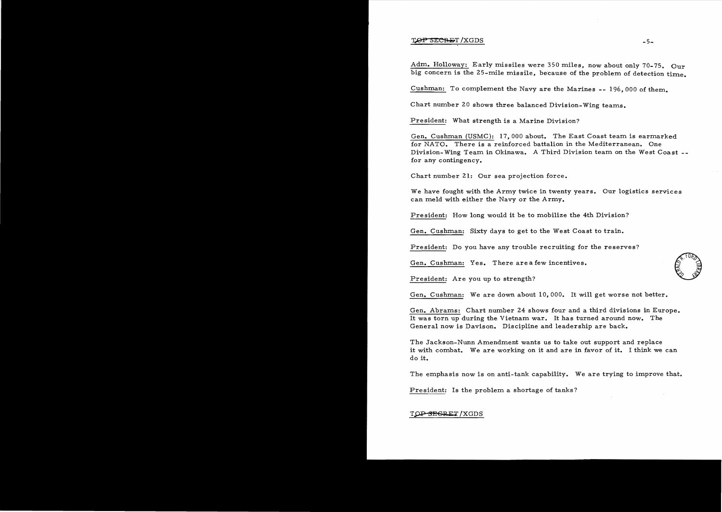### ~T!XGDS -5

Adm. Holloway: Early missiles were 350 miles, now about only 70-75. Our big concern is the 25-mile missile, because of the problem of detection time.

Cushman: To complement the Navy are the Marines **--** 196,000 of them.

Chart number 20 shows three balanced Division-Wing teams.

President: What strength is a Marine Division?

Gen. Cushman (USMC): 17.000 about. The East Coast team is earmarked for NATO. There is a reinforced battalion in the Mediterranean. One Division-Wing Team in Okinawa. A Third Division team on the West Coast for any contingency.

Chart number 21: Our sea projection force.

We have fought with the Army twice in twenty years. Our logistics services can meld with either the Navy or the Army.

President: How long would it be to mobilize the 4th Division?

Gen. Cushman: Sixty days to get to the West Coast to train.

President: Do you have any trouble recruiting for the reserves?

Gen. Cushman: Yes. There are a few incentives.

President: Are you up to strength?

Gen. Cushman: We are down about 10,000. It will get worse not better.

Gen. Abrams: Chart number 24 shows four and a third divisions in Europe. It was torn up during the Vietnam war. It has turned around now. The General now is Davison. Discipline and leadership are back.

The Jackson-Nunn Amendment wants us to take out support and replace it with combat. We are working on it and are in favor of it. I think we can do it.

The emphasis now is on anti-tank capability. We are trying to improve that.

President: Is the problem a shortage of tanks?

## TOP SEGRET / XGDS



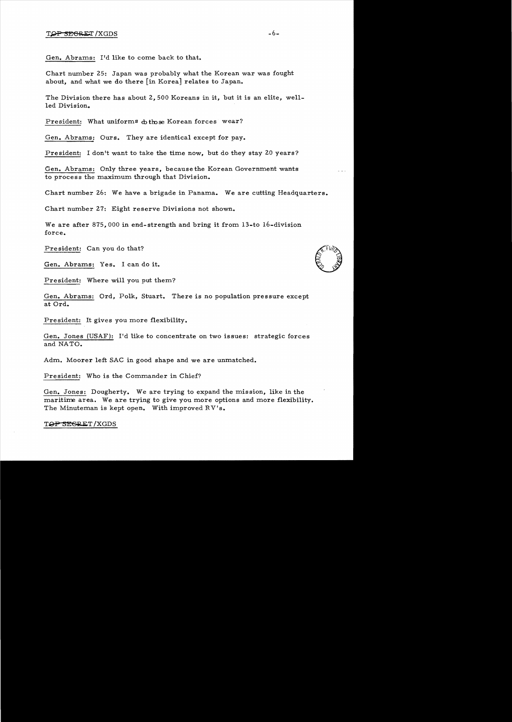Gen. Abrams: I'd like to come back to that.

Chart number 25: Japan was probably what the Korean war was fought about, and what we do there [in Korea] relates to Japan.

The Division there has about 2,500 Koreans in it, but it is an elite, wellled Division.

President: What uniforms  $\phi$ those Korean forces wear?

Gen. Abrams: Ours. They are identical except for pay.

President: I don't want to take the time now, but do they stay 20 years?

Gen. Abrams: Only three years, because the Korean Government wants to process the maximum through that Division.

Chart number 26: We have a brigade in Panama. We are cutting Headquarters.

Chart number 27: Eight reserve Divisions not shown.

We are after 875,000 in end-strength and bring it from 13-to 16-division force.

President: Can you do that?

Gen. Abrams: Yes. I can do it.

President: Where will you put them?

Gen. Abrams: Ord, Polk, Stuart. There is no population pressure except at Ord.

President: It gives you more flexibility.

Gen. Jones (USAF): I'd like to concentrate on two issues: strategic forces and NATO.

Adm. Moorer left SAC in good shape and we are unmatched.

President: Who is the Commander in Chief?

Gen. Jones: Dougherty. We are trying to expand the mission, like in the maritime area. We are trying to give you more options and more flexibility. The Minuteman is kept open. With improved RV's.

TOP SEGRET/XGDS

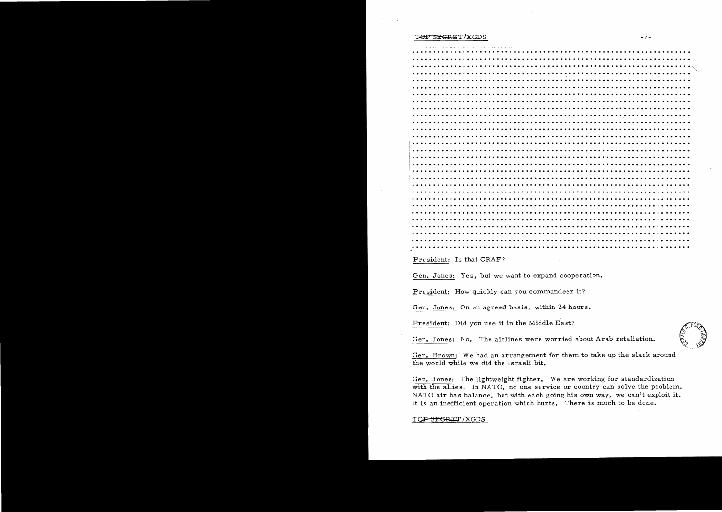#### T<del>OP SECRE</del>T/XGDS -7-

President: Is that CRAF?

Gen. Jones: Yes, but we want to expand cooperation.

President: How quickly can you commandeer it?

Gen. Jones: On an agreed basis, within 24 hours.

President: Did you use it in the Middle East?<br>Gen. Jones: No. The airlines were worried about Arab retaliation.



Gen. Brown: We had an arrangement for them to take up the slack around the world while we did the Israeli bit.

Gen. Jones: The lightweight fighter. We are working for standardization with the allies. In NATO, no one service or country can solve the problem. NATO air has balance, but with each going his own way, we can't exploit it. It is an inefficient operation which hurts. There is much to be done.

### TOP SEGRET / XGDS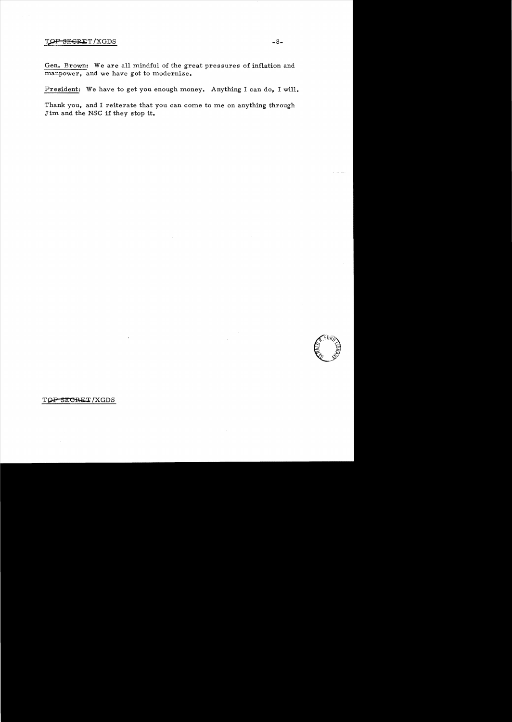## TOP SEGRET/XGDS -8-

Gen. Brown: We are all mindful of the great pressures of inflation and manpower, and we have got to modernize.

President: We have to get you enough money. Anything I can do, I will.

Thank you, and I reiterate that you can come to me on anything through Jim and the NSC if they stop it.



TOP SECRET/XGDS